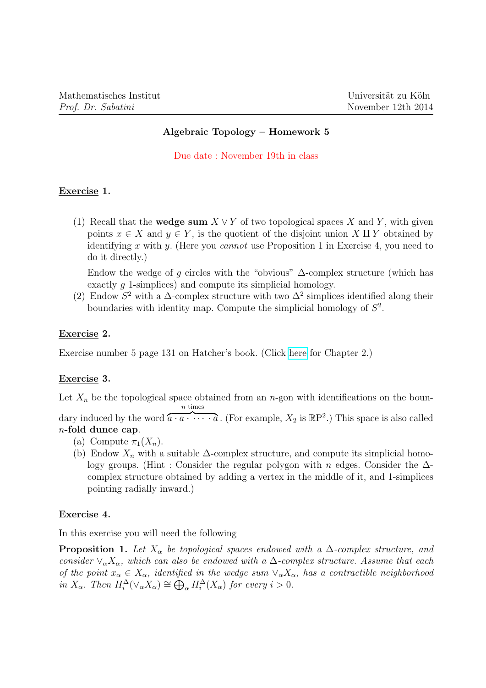## Algebraic Topology – Homework 5

Due date : November 19th in class

# Exercise 1.

(1) Recall that the **wedge sum**  $X \vee Y$  of two topological spaces X and Y, with given points  $x \in X$  and  $y \in Y$ , is the quotient of the disjoint union X II Y obtained by identifying x with y. (Here you cannot use Proposition 1 in Exercise 4, you need to do it directly.)

Endow the wedge of q circles with the "obvious"  $\Delta$ -complex structure (which has exactly q 1-simplices) and compute its simplicial homology.

(2) Endow  $S^2$  with a  $\Delta$ -complex structure with two  $\Delta^2$  simplices identified along their boundaries with identity map. Compute the simplicial homology of  $S^2$ .

#### Exercise 2.

Exercise number 5 page 131 on Hatcher's book. (Click [here](http://www.math.cornell.edu/~hatcher/AT/ATch2.pdf) for Chapter 2.)

## Exercise 3.

Let  $X_n$  be the topological space obtained from an n-gon with identifications on the boundary induced by the word  $\overbrace{a \cdot a \cdot \cdots \cdot a}^{\alpha \cdot \alpha \cdot \cdots \cdot \alpha}$ . (For example,  $X_2$  is  $\mathbb{R}P^2$ .) This space is also called n times n-fold dunce cap.

- (a) Compute  $\pi_1(X_n)$ .
- (b) Endow  $X_n$  with a suitable  $\Delta$ -complex structure, and compute its simplicial homology groups. (Hint : Consider the regular polygon with n edges. Consider the ∆ complex structure obtained by adding a vertex in the middle of it, and 1-simplices pointing radially inward.)

## Exercise 4.

In this exercise you will need the following

**Proposition 1.** Let  $X_\alpha$  be topological spaces endowed with a  $\Delta$ -complex structure, and consider  $\vee_{\alpha} X_{\alpha}$ , which can also be endowed with a  $\Delta$ -complex structure. Assume that each of the point  $x_\alpha \in X_\alpha$ , identified in the wedge sum  $\vee_\alpha X_\alpha$ , has a contractible neighborhood in  $X_{\alpha}$ . Then  $H_i^{\Delta}(\vee_{\alpha} X_{\alpha}) \cong \bigoplus_{\alpha} H_i^{\Delta}(X_{\alpha})$  for every  $i > 0$ .